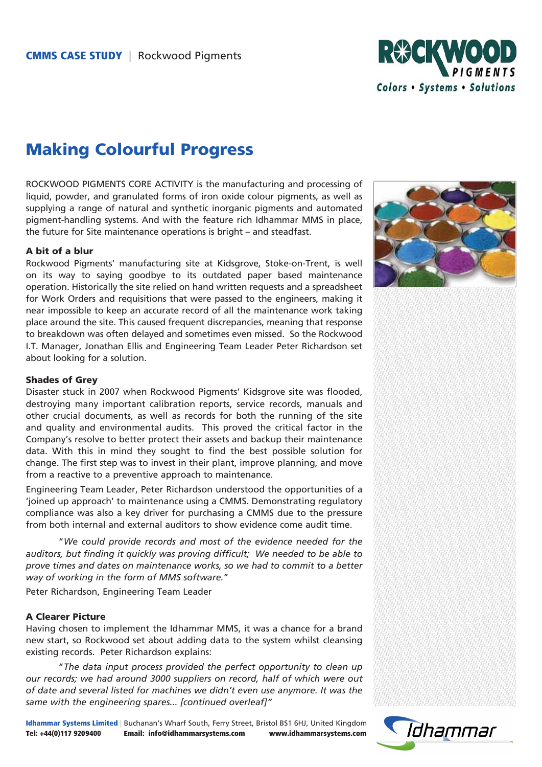

# Making Colourful Progress

ROCKWOOD PIGMENTS CORE ACTIVITY is the manufacturing and processing of liquid, powder, and granulated forms of iron oxide colour pigments, as well as supplying a range of natural and synthetic inorganic pigments and automated pigment-handling systems. And with the feature rich Idhammar MMS in place, the future for Site maintenance operations is bright – and steadfast.

#### A bit of a blur

Rockwood Pigments' manufacturing site at Kidsgrove, Stoke-on-Trent, is well on its way to saying goodbye to its outdated paper based maintenance operation. Historically the site relied on hand written requests and a spreadsheet for Work Orders and requisitions that were passed to the engineers, making it near impossible to keep an accurate record of all the maintenance work taking place around the site. This caused frequent discrepancies, meaning that response to breakdown was often delayed and sometimes even missed. So the Rockwood I.T. Manager, Jonathan Ellis and Engineering Team Leader Peter Richardson set about looking for a solution.



#### Shades of Grey

Disaster stuck in 2007 when Rockwood Pigments' Kidsgrove site was flooded, destroying many important calibration reports, service records, manuals and other crucial documents, as well as records for both the running of the site and quality and environmental audits. This proved the critical factor in the Company's resolve to better protect their assets and backup their maintenance data. With this in mind they sought to find the best possible solution for change. The first step was to invest in their plant, improve planning, and move from a reactive to a preventive approach to maintenance.

Engineering Team Leader, Peter Richardson understood the opportunities of a 'joined up approach' to maintenance using a CMMS. Demonstrating regulatory compliance was also a key driver for purchasing a CMMS due to the pressure from both internal and external auditors to show evidence come audit time.

"*We could provide records and most of the evidence needed for the auditors, but finding it quickly was proving difficult; We needed to be able to prove times and dates on maintenance works, so we had to commit to a better way of working in the form of MMS software.*"

Peter Richardson, Engineering Team Leader

## A Clearer Picture

Having chosen to implement the Idhammar MMS, it was a chance for a brand new start, so Rockwood set about adding data to the system whilst cleansing existing records. Peter Richardson explains:

"*The data input process provided the perfect opportunity to clean up our records; we had around 3000 suppliers on record, half of which were out of date and several listed for machines we didn't even use anymore. It was the same with the engineering spares... [continued overleaf]"*

Idhammar Systems Limited | Buchanan's Wharf South, Ferry Street, Bristol BS1 6HJ, United Kingdom Tel: +44(0)117 9209400 Email: info@idhammarsystems.com www.idhammarsystems.com